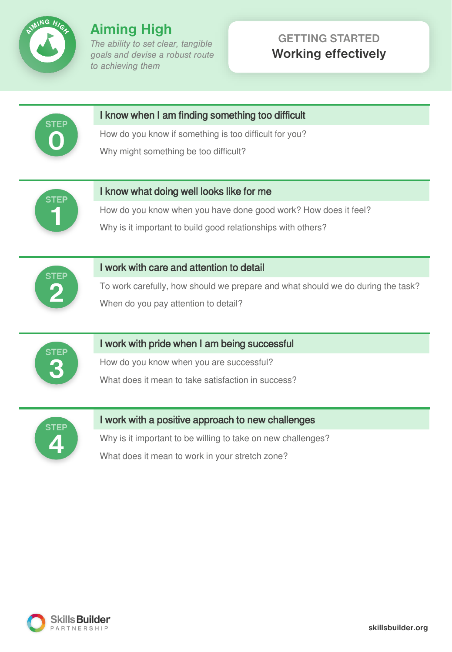

# **GETTING STARTED Working effectively**



### I know when I am finding something too difficult

How do you know if something is too difficult for you? Why might something be too difficult?



#### I know what doing well looks like for me

How do you know when you have done good work? How does it feel?

Why is it important to build good relationships with others?



#### I work with care and attention to detail

To work carefully, how should we prepare and what should we do during the task? When do you pay attention to detail?



### I work with pride when I am being successful

How do you know when you are successful? What does it mean to take satisfaction in success?



### I work with a positive approach to new challenges

Why is it important to be willing to take on new challenges? What does it mean to work in your stretch zone?

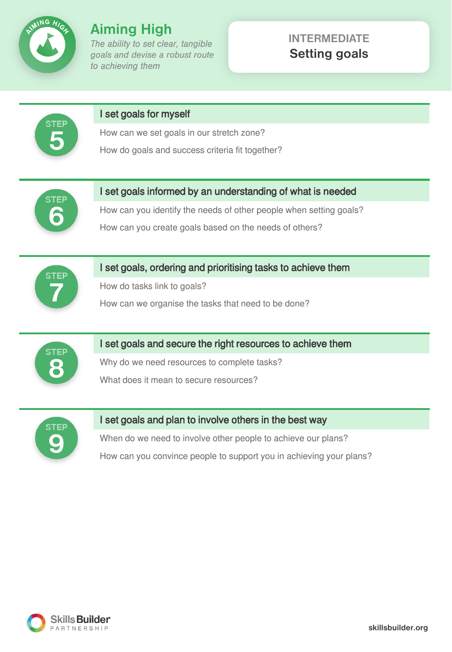

## **INTERMEDIATE Setting goals**



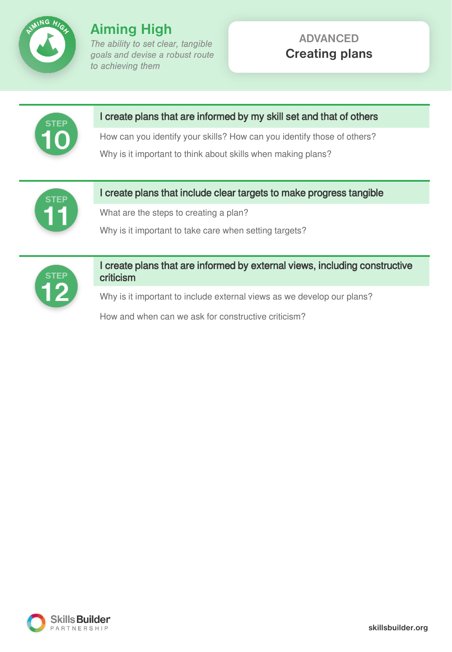

## **ADVANCED Creating plans**



I create plans that are informed by my skill set and that of others

How can you identify your skills? How can you identify those of others? Why is it important to think about skills when making plans?



I create plans that include clear targets to make progress tangible

What are the steps to creating a plan?

Why is it important to take care when setting targets?



I create plans that are informed by external views, including constructive criticism

Why is it important to include external views as we develop our plans?

How and when can we ask for constructive criticism?